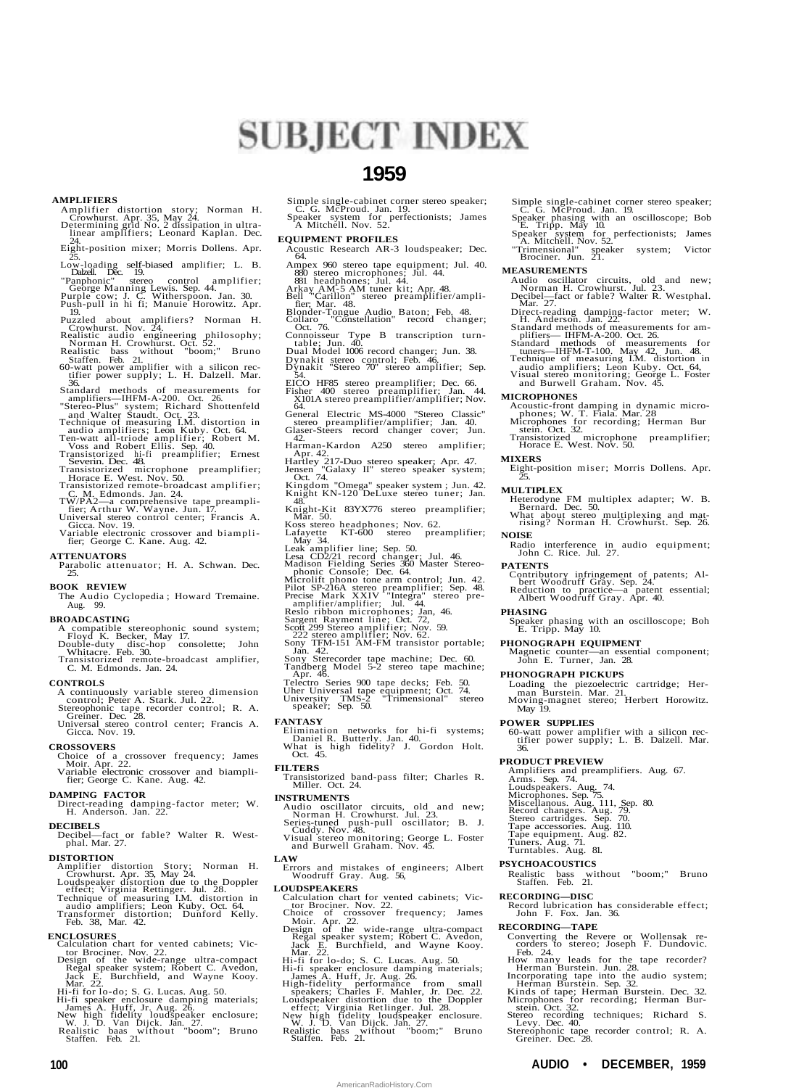# **SUBJECT INDEX**

# **1959**

### **AMPLIFIERS**

- Amplifier distortion story; Norman H.<br>
Crowhurst. Apr. 35, May 24.<br>
Determining grid No. 2 dissipation in ultra-<br>
linear amplifiers; Leonard Kaplan. Dec.<br>
24.
- Eight-position mixer; Morris Dollens. Apr.
- 25. Low-loading self-biased amplifier; L. B. Dalzell. Dec. 19. "Panphonic" stereo control amplifier; George Manning Lewis. Sep. 44. Purple cow; J. C. Witherspoon. Jan. 30. Push-pull in hi fi; Manuie Horowitz. Apr.
- 
- 
- 
- 
- The Principle about amplifiers? Norman H.<br>
Puzzled about amplifiers? Norman H.<br>
Crowhurst. Nov. 24.<br>
Realistic audio engineering philosophy;<br>
Norman H. Crowhurst. Oct. 52.<br>
Realistic bass without "boom;" Bruno<br>
staffen. Fe
- 
- Standard methods of measurements for<br>
"amplifiers---IHFM-A-200. Oct. 26.<br>
"Stereo-Plus" system; Richard Shottenfeld<br>
Technique of measuring I.M. distortion in<br>
and Walter Staudt. Oct. 23.<br>
Technique of measuring I.M. disto
- 
- 
- 
- 
- 
- 
- 

### **ATTENUATORS**

Parabolic attenuator; H. A. Schwan. Dec. 25.

#### **BOOK REVIEW**

The Audio Cyclopedia ; Howard Tremaine. Aug. 99.

- 
- **BROADCASTING**<br>
A compatible stereophonic sound system;<br>
Floyd K. Becker, May 17.<br>
Double-duty disc-hop consolette; John<br>
Whitacre. Feb. 30.<br>
Transistorized remote-broadcast amplifier,<br>
C. M. Edmonds. Jan. 24.

## **CONTROLS**

- A continuously variable stereo dimension
- control; Peter A. Stark. Jul. 22. Stereophonic tape recorder control; R. A. Greiner. Dec. 28. Universal stereo control center; Francis A. Gicca. Nov. 19.

#### **CROSSOVERS**

- Choice of a crossover frequency; James Moir. Apr. 22. Variable electronic crossover and biampli-fier; George C. Kane. Aug. 42.
- 

# **DAMPING FACTOR**

Direct-read ing damping-factor meter; W. H. Anderson. Jan. 22.

#### **DECIBELS**

Decibel—fact or fable? Walter R. West-phal. Mar. 27.

- **DISTORTION**<br>Amplifier distortion Story; Norman H.<br>Crowhurst. Apr. 35, May 24.<br>Loudspeaker distortion due to the Doppler<br>effect; Virginia Rettinger. Jul. 28.<br>Technique of measuring I.M. distortion in<br>audio amplifiers; Leon
- 

#### **ENCLOSURES**

- 
- Calculation chart for vented cabinets; Victor<br>
tor Brociner. Nov. 22.<br>
Design of the wide-range ultra-compact<br>
Regal speaker system; Robert C. Avedon,<br>
Jack E. Burchfield, and Wayne Kooy.<br>
Mar. 22.
- 
- 
- Hi-fi for lo-do; S. G. Lucas. Aug. 50.<br>Hi-fi speaker enclosure damping materials;<br>lames A. Huff, Jr. Aug. 26.<br>New high fidelity loudspeaker enclosure;<br>W. J. D. Van Dijck. Jan. 27.<br>Realistic baas without "boom"; Bruno<br>Staff

Simple single-cabinet corner stereo speaker; C. G. McProud. Jan. 19. Speaker system for perfectionists; James A Mitchell. Nov. 52.

#### **EQUIPMENT PROFILES**

- Acoustic Research AR-3 loudspeaker; Dec.
- 
- 64.<br>
Ampex 960 stereo tape equipment; Jul. 40.<br>
880 stereo microphones; Jul. 44.<br>
881 headphones; Jul. 44.<br>
Arkay AM-5 AM tuner kit; Apr. 48.<br>
Bell "Carillon" stereo preamplifier/ampli-<br>
fier; Mar. 48.
- Blonder-Tongue Audio Baton; Feb. 48. Collaro "Constellation" record changer; Oct. 76.
- 
- 
- Connoisseur Type B transcription turn-table; Jun. 40. Dual Model 1006 record changer; Jun. 38. Dynakit stereo control; Feb. 46. Dynakit "Stereo 70" stereo amplifier; Sep. 54.
- EICO HF85 stereo preamplifier; Dec. 66.<br>Fisher 400 stereo preamplifier; Jan. 44.<br>X101A stereo preamplifier/amplifier; Nov.<br>64.
- 
- General Electric MS-4000 "Stereo Classic" stereo preamplifier/amplifier; Jan. 40. Glaser-Steers record changer cover; Jun.
- 42. Harman-Kardon A250 stereo amplifier;
- 
- Apr. 42.<br>Hartley 217-Duo stereo speaker; Apr. 47.<br>Jensen "Galaxy II" stereo speaker system;<br>Cot. 74. "Omega" speaker system; Jun. 42.<br>Kingdom "Omega" speaker system; Jun. 42.<br>28. All Correspondences in the system of the sy
- Knight-Kit 83YX776 stereo preamplifier; Mar. 50. Koss stereo headphones; Nov. 62. Lafayette KT-600 stereo preamplifier;
- 
- 
- 
- May 34.<br>Leak amplifier line; Sep. 50.<br>Leas CD2/21 record changer; Jul. 46.<br>Madison Fielding Series 360 Master Stereo-<br>phonic Console; Dec. 64.<br>Microlift phono tone arm control; Jun. 42.<br>Pitot SP-216A stereo preamplifier; S
- 
- 
- 
- 
- 
- 
- 
- Tandberg Model 5-2 stereo tape machine; Apr. 46. Telectro Series 900 tape decks; Feb. 50. Uher Universal tape equipment; Oct. 74. University TMS-2 "Trimensional" stereo speaker; Sep. 50.

#### **FANTASY**

Elimination networks for hi-fi systems; Daniel R. Butterly. Jan. 40. What is high fidelity? J. Gordon Holt. Oct. 45.

#### **FILTERS**

Transistorized band-pass filter; Charles R. Miller. Oct. 24.

### **INSTRUMENTS**

- Audio oscillator circuits, old and new;<br>Norman H. Crowhurst. Jul. 23.<br>Series-tuned push-pull oscillator; B. J.<br>Cuddy. Nov. 48.<br>and Burwell Graham. Nov. 45.
- 

#### **LAW**

Errors and mistakes of engineers; Albert Woodruff Gray. Aug. 56,

#### **LOUDSPEAKERS**

- 
- Calculation chart for vented cabinets; Victor<br>Choice of crossover frequency; James<br>Moir. Apr. 22.<br>Design of the wide-range ultra-compact<br>Design of the wide-range ultra-compact<br>Regal speaker system; Robert C. Avedon,<br>Jack E
- Hi-fi for lo-do; S. C. Lucas. Aug. 50.
- 
- Hi-fi speaker enclosure damping materials;<br>
Hi-fi speaker, Huff, Jr. Aug. 26.<br>
High-fidelity performance from small<br>
speakers; Charles F. Mahler, Jr. Dec. 22.<br>
Loudspeaker distortion due to the Doppler<br>
effect; Virginia Re
- 
- 

**100 AUDIO • DECEMBER, 1959**

AmericanRadioHistory.Com

Simple single-cabinet corner stereo speaker; C. G. McProud. Jan. 19. Speaker phasing with an oscilloscope; Bob E. Tripp. May 10.

- Speaker system for perfectionists; James<br>A. Mitchell. Nov. 52.<br>"Trimensional" speaker system; Victor<br>Brociner. Jun. 21.
- 

**MICROPHONES**

**MIXERS**

25. **MULTIPLEX**

**NOISE**

**PATENTS**

**PHASING**

36.

**PSYCHOACOUSTICS**

**RECORDING—DISC**

**RECORDING—TAPE**

- MEASUREMENTS<br>
Audio oscillator circuits, old and new;<br>
Norman H. Crowhurst. Jul. 23.<br>
Decibel--fact or fable? Walter R. Westphal.<br>
Mar. 27.<br>
Direct-reading damping-factor meter; W.<br>
H. Anderson. Jan. 22.<br>
Standard methods
- 
- 
- 
- 

Acoustic-front damping in dynamic micro-phones; W. T. Fiala. Mar. 28 Microphones for recording; Herman Bur stein. Oct. 32. Transistorized microphone preamplifier;

Eight-position miser; Morris Dollens. Apr.

Heterodyne FM multiplex adapter; W. B. Bernard. Dec. 50. What about stereo multiplexing and mat-rising? Norman H. Crowhurst. Sep. 26.

Radio interference in audio equipment; John C. Rice. Jul. 27.

Contributory infringement of patents; Albert Woodruff Gray. Sep. 24. Reduction to practice—a patent essential; Albert Woodruff Gray. Apr. 40.

Speaker phasing with an oscilloscope; Boh E. Tripp. May 10.

Magnetic counter—an essential component; John E. Turner, Jan. 28.

Loading the piezoelectric cartridge; Her-man Burstein. Mar. 21. Moving-magnet stereo; Herbert Horowitz. May 19.

**POWER SUPPLIES** 60-watt power amplifier with a silicon rec-tifier power supply; L. B. Dalzell. Mar.

**PRODUCT PREVIEW**<br>Amplifiers and preamplifiers. Aug. 67.<br>Arms. Sep. 74.<br>Loudspeakers. Aug. 74.<br>Microphones. Sep. 75.<br>Miscellanous. Aug. 111, Sep. 80.<br>Record changers. Aug. 79.<br>Stereo cartridges. Sep. 70.<br>Tape accessories.

Realistic bass without "boom;" Bruno Staffen. Feb. 21.

Record lubrication has considerable effect; John F. Fox. Jan. 36.

Converting the Revere or Wollensak recorders to stereo; Joseph F. Dundovic.<br>Feb. 24.<br>How many leads for the tape recorder?<br>Herman Burstein. Jun. 28.<br>Incorporating tape into the audio system;<br>Incorporating tape into the aud

Stereo recording techniques; Richard S.<br>
Levy. Dec. 40.<br>
Stereophonic tape recorder control; R. A.<br>
Stereophonic tape recorder control; R. A.<br>
Greiner. Dec. 28.

**PHONOGRAPH EQUIPMENT**

**PHONOGRAPH PICKUPS**

ransistorized microphone<br>Horace E. West. Nov. 50.